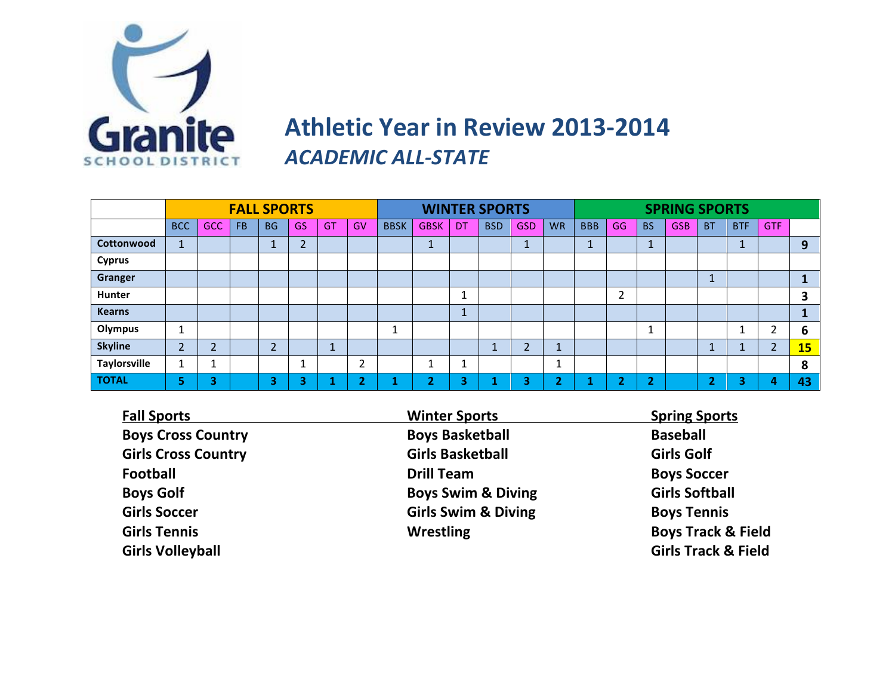

### **Athletic Year in Review 2013-2014 ACADEMIC ALL-STATE**

|                     |                          |            |     | <b>FALL SPORTS</b> |           |     |           |             |             |                      | <b>WINTER SPORTS</b> |                |                               | <b>SPRING SPORTS</b> |                |           |            |                |            |                |           |
|---------------------|--------------------------|------------|-----|--------------------|-----------|-----|-----------|-------------|-------------|----------------------|----------------------|----------------|-------------------------------|----------------------|----------------|-----------|------------|----------------|------------|----------------|-----------|
|                     | <b>BCC</b>               | <b>GCC</b> | FB. | <b>BG</b>          | GS        | GT. | GV        | <b>BBSK</b> | <b>GBSK</b> | DT                   | <b>BSD</b>           | <b>GSD</b>     | <b>WR</b>                     | <b>BBB</b>           | GG             | <b>BS</b> | <b>GSB</b> | <b>BT</b>      | <b>BTF</b> | <b>GTF</b>     |           |
| Cottonwood          | $\mathbf{I}$             |            |     |                    | h<br>∠    |     |           |             |             |                      |                      | $\overline{ }$ |                               | A                    |                |           |            |                |            |                | 9         |
| <b>Cyprus</b>       |                          |            |     |                    |           |     |           |             |             |                      |                      |                |                               |                      |                |           |            |                |            |                |           |
| Granger             |                          |            |     |                    |           |     |           |             |             |                      |                      |                |                               |                      |                |           |            |                |            |                |           |
| <b>Hunter</b>       |                          |            |     |                    |           |     |           |             |             | Ŧ.                   |                      |                |                               |                      | ົາ<br>∠        |           |            |                |            |                | 3         |
| <b>Kearns</b>       |                          |            |     |                    |           |     |           |             |             | $\overline{a}$<br>л. |                      |                |                               |                      |                |           |            |                |            |                |           |
| <b>Olympus</b>      | $\overline{\phantom{a}}$ |            |     |                    |           |     |           | и           |             |                      |                      |                |                               |                      |                | ٠         |            |                |            | ຳ<br>∠         | 6         |
| <b>Skyline</b>      | 2                        | ำ          |     | <u>ີ</u>           |           |     |           |             |             |                      |                      | ◠              | $\overline{ }$<br>J.          |                      |                |           |            |                |            | $\overline{2}$ | <b>15</b> |
| <b>Taylorsville</b> |                          |            |     |                    |           |     | C.<br>∠   |             |             | <b>A</b><br>Ŧ.       |                      |                | $\overline{\phantom{a}}$<br>÷ |                      |                |           |            |                |            |                | 8         |
| <b>TOTAL</b>        | 5                        | 3          |     | 3                  | $\bullet$ |     | $\bullet$ |             | ∼           | 3                    |                      | ÷              | $\bullet$                     |                      | $\bullet$<br>ı | ÷<br>▴    |            | $\blacksquare$ | ◠          | 4              | 43        |

| <b>Fall Sports</b>         | <b>Winter Sports</b>           | <b>Spring Sports</b>           |
|----------------------------|--------------------------------|--------------------------------|
| <b>Boys Cross Country</b>  | <b>Boys Basketball</b>         | <b>Baseball</b>                |
| <b>Girls Cross Country</b> | <b>Girls Basketball</b>        | <b>Girls Golf</b>              |
| <b>Football</b>            | <b>Drill Team</b>              | <b>Boys Soccer</b>             |
| <b>Boys Golf</b>           | <b>Boys Swim &amp; Diving</b>  | <b>Girls Softball</b>          |
| <b>Girls Soccer</b>        | <b>Girls Swim &amp; Diving</b> | <b>Boys Tennis</b>             |
| <b>Girls Tennis</b>        | <b>Wrestling</b>               | <b>Boys Track &amp; Field</b>  |
| <b>Girls Volleyball</b>    |                                | <b>Girls Track &amp; Field</b> |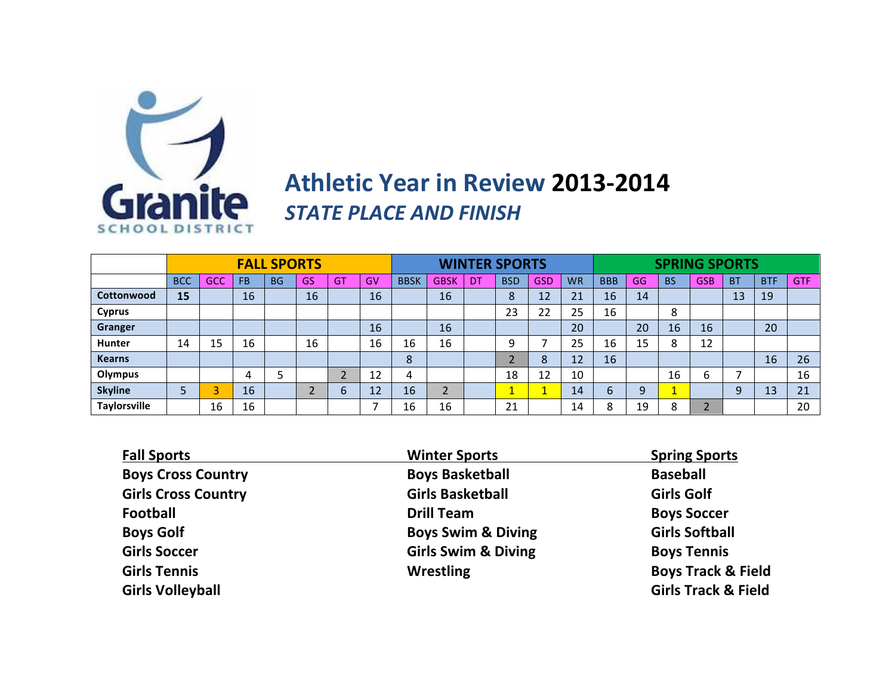

### **Athletic Year in Review 2013-2014 STATE PLACE AND FINISH**

|                     |            |                          |           | <b>FALL SPORTS</b> |    |                          |    | <b>WINTER SPORTS</b> |             |    |                          |            |           | <b>SPRING SPORTS</b> |    |                                |            |           |            |            |
|---------------------|------------|--------------------------|-----------|--------------------|----|--------------------------|----|----------------------|-------------|----|--------------------------|------------|-----------|----------------------|----|--------------------------------|------------|-----------|------------|------------|
|                     | <b>BCC</b> | GCC                      | <b>FB</b> | <b>BG</b>          | GS | <b>GT</b>                | GV | <b>BBSK</b>          | <b>GBSK</b> | DT | <b>BSD</b>               | <b>GSD</b> | <b>WR</b> | <b>BBB</b>           | GG | <b>BS</b>                      | <b>GSB</b> | <b>BT</b> | <b>BTF</b> | <b>GTF</b> |
| Cottonwood          | 15         |                          | 16        |                    | 16 |                          | 16 |                      | 16          |    | $\circ$<br>$\circ$       | 12         | 21        | 16                   | 14 |                                |            | 13        | 19         |            |
| <b>Cyprus</b>       |            |                          |           |                    |    |                          |    |                      |             |    | 23                       | 22         | 25        | 16                   |    | 8                              |            |           |            |            |
| Granger             |            |                          |           |                    |    |                          | 16 |                      | 16          |    |                          |            | 20        |                      | 20 | 16                             | 16         |           | 20         |            |
| <b>Hunter</b>       | 14         | 15                       | 16        |                    | 16 |                          | 16 | 16                   | 16          |    | a                        |            | 25        | 16                   | 15 | 8                              | 12         |           |            |            |
| <b>Kearns</b>       |            |                          |           |                    |    |                          |    | 8                    |             |    |                          | 8          | 12        | 16                   |    |                                |            |           | 16         | 26         |
| Olympus             |            |                          | 4         |                    |    | $\overline{\phantom{0}}$ | 12 | 4                    |             |    | 18                       | 12         | 10        |                      |    | 16                             | b          |           |            | 16         |
| <b>Skyline</b>      |            | $\overline{\phantom{a}}$ | 16        |                    |    | 6                        | 12 | 16                   | h<br>∠      |    | $\overline{\phantom{a}}$ |            | 14        |                      | 9  | $\overline{\phantom{a}}$<br>ш. |            | 9         | 13         | 21         |
| <b>Taylorsville</b> |            | 16                       | 16        |                    |    |                          |    | 16                   | 16          |    | 21                       |            | 14        |                      | 19 | ິດ                             |            |           |            | 20         |

| <b>Fall Sports</b>         | <b>Winter Sports</b>           | <b>Spring Sports</b>           |
|----------------------------|--------------------------------|--------------------------------|
| <b>Boys Cross Country</b>  | <b>Boys Basketball</b>         | <b>Baseball</b>                |
| <b>Girls Cross Country</b> | <b>Girls Basketball</b>        | <b>Girls Golf</b>              |
| <b>Football</b>            | <b>Drill Team</b>              | <b>Boys Soccer</b>             |
| <b>Boys Golf</b>           | <b>Boys Swim &amp; Diving</b>  | <b>Girls Softball</b>          |
| <b>Girls Soccer</b>        | <b>Girls Swim &amp; Diving</b> | <b>Boys Tennis</b>             |
| <b>Girls Tennis</b>        | <b>Wrestling</b>               | <b>Boys Track &amp; Field</b>  |
| <b>Girls Volleyball</b>    |                                | <b>Girls Track &amp; Field</b> |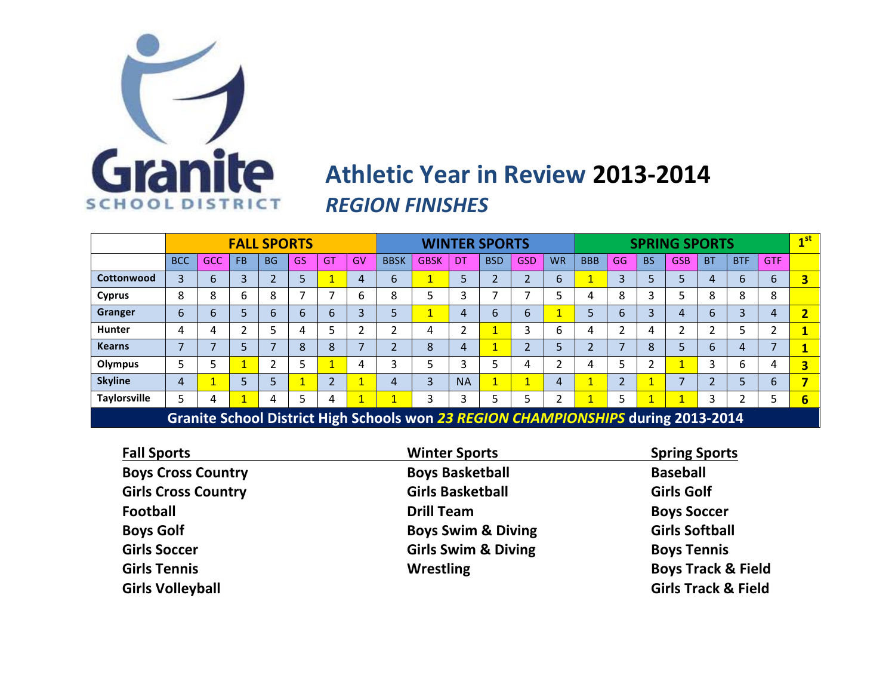

### **Athletic Year in Review 2013-2014 REGION FINISHES**

|                                                                                   |            |            |           | <b>FALL SPORTS</b> |    |           |                          |             |             |           | <b>WINTER SPORTS</b> |            |           | <b>SPRING SPORTS</b> |              |           |            |           |            | 1 <sup>st</sup>          |                         |
|-----------------------------------------------------------------------------------|------------|------------|-----------|--------------------|----|-----------|--------------------------|-------------|-------------|-----------|----------------------|------------|-----------|----------------------|--------------|-----------|------------|-----------|------------|--------------------------|-------------------------|
|                                                                                   | <b>BCC</b> | <b>GCC</b> | <b>FB</b> | <b>BG</b>          | GS | <b>GT</b> | <b>GV</b>                | <b>BBSK</b> | <b>GBSK</b> | DT        | <b>BSD</b>           | <b>GSD</b> | <b>WR</b> | <b>BBB</b>           | GG           | <b>BS</b> | <b>GSB</b> | <b>BT</b> | <b>BTF</b> | <b>GTF</b>               |                         |
| Cottonwood                                                                        | 3          | 6          | 3         |                    | 5  |           | 4                        | 6           |             | 5         |                      |            | 6         |                      | 3            | 5         |            | 4         | b          | 6                        | 3                       |
| <b>Cyprus</b>                                                                     | 8          | 8          | 6         | 8                  |    |           | 6                        | 8           |             | 3         |                      |            | 5         | 4                    | 8            | 3         |            | 8         | O<br>ົ     | 8                        |                         |
| Granger                                                                           | 6          | 6          |           | 6                  | 6  | 6         | 3                        | 5           |             | 4         | 6                    | 6          | 4         | 5                    | 6            | 3         | 4          | 6         | 3          | 4                        | $\overline{\mathbf{2}}$ |
| <b>Hunter</b>                                                                     | 4          | 4          | C.        |                    |    |           | C.                       |             | 4           | C.        |                      | 3          | 6         | 4                    | ົ            | 4         | ጎ          |           |            | h                        |                         |
| <b>Kearns</b>                                                                     | ⇁          |            |           | 7                  | 8  | 8         | $\overline{\phantom{a}}$ |             | 8           | 4         |                      | C.         | 5         | ∍                    | ⇁            | 8         |            | 6         | 4          | $\overline{\phantom{a}}$ |                         |
| <b>Olympus</b>                                                                    | 5          |            |           |                    |    |           | 4                        |             |             | 3         | ∍                    |            | ำ         | 4                    | 5            | ຳ         |            |           | b          | 4                        | 3                       |
| <b>Skyline</b>                                                                    | 4          |            |           |                    |    | C.        |                          | 4           | 3           | <b>NA</b> |                      |            | 4         | и                    | $\mathbf{D}$ |           |            |           |            | 6                        |                         |
| <b>Taylorsville</b>                                                               | 5          | 4          |           | 4                  |    | 4         |                          |             | 3           | 3         | э                    |            | ำ         |                      | 5            |           |            |           |            | 5                        | 6                       |
| Granite School District High Schools won 23 REGION CHAMPIONSHIPS during 2013-2014 |            |            |           |                    |    |           |                          |             |             |           |                      |            |           |                      |              |           |            |           |            |                          |                         |

| <b>Winter Sports</b>           | <b>Spring Sports</b>           |
|--------------------------------|--------------------------------|
| <b>Boys Basketball</b>         | <b>Baseball</b>                |
| <b>Girls Basketball</b>        | <b>Girls Golf</b>              |
| <b>Drill Team</b>              | <b>Boys Soccer</b>             |
| <b>Boys Swim &amp; Diving</b>  | <b>Girls Softball</b>          |
| <b>Girls Swim &amp; Diving</b> | <b>Boys Tennis</b>             |
| <b>Wrestling</b>               | <b>Boys Track &amp; Field</b>  |
|                                | <b>Girls Track &amp; Field</b> |
|                                |                                |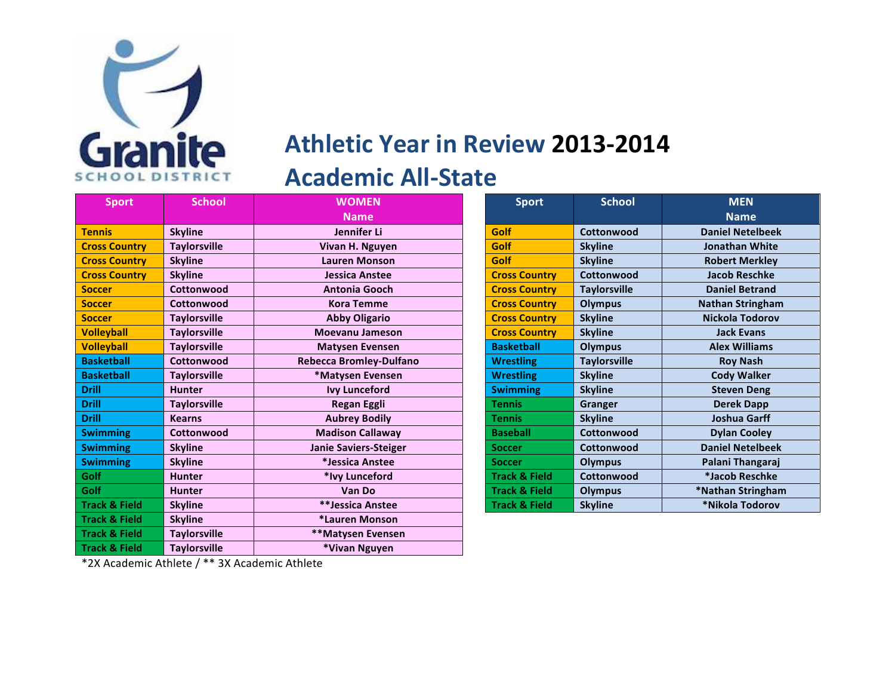

## **Athletic Year in Review 2013-2014 Academic All-State**

| <b>Sport</b>             | <b>School</b>       | <b>WOMEN</b>                 | <b>Sport</b>             | <b>School</b>       | <b>MEN</b>              |
|--------------------------|---------------------|------------------------------|--------------------------|---------------------|-------------------------|
|                          |                     | <b>Name</b>                  |                          |                     | <b>Name</b>             |
| <b>Tennis</b>            | <b>Skyline</b>      | Jennifer Li                  | Golf                     | Cottonwood          | <b>Daniel Netelbeek</b> |
| <b>Cross Country</b>     | <b>Taylorsville</b> | Vivan H. Nguyen              | Golf                     | <b>Skyline</b>      | <b>Jonathan White</b>   |
| <b>Cross Country</b>     | <b>Skyline</b>      | <b>Lauren Monson</b>         | Golf                     | <b>Skyline</b>      | <b>Robert Merkley</b>   |
| <b>Cross Country</b>     | <b>Skyline</b>      | <b>Jessica Anstee</b>        | <b>Cross Country</b>     | Cottonwood          | <b>Jacob Reschke</b>    |
| <b>Soccer</b>            | Cottonwood          | <b>Antonia Gooch</b>         | <b>Cross Country</b>     | <b>Taylorsville</b> | <b>Daniel Betrand</b>   |
| <b>Soccer</b>            | Cottonwood          | <b>Kora Temme</b>            | <b>Cross Country</b>     | <b>Olympus</b>      | <b>Nathan Stringham</b> |
| <b>Soccer</b>            | <b>Taylorsville</b> | <b>Abby Oligario</b>         | <b>Cross Country</b>     | <b>Skyline</b>      | Nickola Todorov         |
| <b>Volleyball</b>        | <b>Taylorsville</b> | <b>Moevanu Jameson</b>       | <b>Cross Country</b>     | <b>Skyline</b>      | <b>Jack Evans</b>       |
| <b>Volleyball</b>        | <b>Taylorsville</b> | <b>Matysen Evensen</b>       | <b>Basketball</b>        | <b>Olympus</b>      | <b>Alex Williams</b>    |
| <b>Basketball</b>        | Cottonwood          | Rebecca Bromley-Dulfano      | <b>Wrestling</b>         | <b>Tavlorsville</b> | <b>Roy Nash</b>         |
| <b>Basketball</b>        | <b>Taylorsville</b> | *Matysen Evensen             | <b>Wrestling</b>         | <b>Skyline</b>      | <b>Cody Walker</b>      |
| <b>Drill</b>             | <b>Hunter</b>       | <b>Ivy Lunceford</b>         | <b>Swimming</b>          | <b>Skyline</b>      | <b>Steven Deng</b>      |
| <b>Drill</b>             | <b>Taylorsville</b> | <b>Regan Eggli</b>           | <b>Tennis</b>            | <b>Granger</b>      | <b>Derek Dapp</b>       |
| <b>Drill</b>             | <b>Kearns</b>       | <b>Aubrey Bodily</b>         | <b>Tennis</b>            | <b>Skyline</b>      | <b>Joshua Garff</b>     |
| <b>Swimming</b>          | Cottonwood          | <b>Madison Callaway</b>      | <b>Baseball</b>          | Cottonwood          | <b>Dylan Cooley</b>     |
| <b>Swimming</b>          | <b>Skyline</b>      | <b>Janie Saviers-Steiger</b> | <b>Soccer</b>            | Cottonwood          | <b>Daniel Netelbeek</b> |
| <b>Swimming</b>          | <b>Skyline</b>      | *Jessica Anstee              | <b>Soccer</b>            | <b>Olympus</b>      | Palani Thangaraj        |
| Golf                     | <b>Hunter</b>       | *Ivy Lunceford               | <b>Track &amp; Field</b> | Cottonwood          | *Jacob Reschke          |
| Golf                     | <b>Hunter</b>       | Van Do                       | <b>Track &amp; Field</b> | <b>Olympus</b>      | *Nathan Stringham       |
| <b>Track &amp; Field</b> | <b>Skyline</b>      | **Jessica Anstee             | <b>Track &amp; Field</b> | <b>Skyline</b>      | *Nikola Todorov         |
| <b>Track &amp; Field</b> | <b>Skyline</b>      | *Lauren Monson               |                          |                     |                         |
| <b>Track &amp; Field</b> | <b>Taylorsville</b> | **Matysen Evensen            |                          |                     |                         |
| <b>Track &amp; Field</b> | <b>Taylorsville</b> | *Vivan Nguyen                |                          |                     |                         |

| <b>Sport</b>             | <b>School</b>       | <b>MEN</b>              |  |  |
|--------------------------|---------------------|-------------------------|--|--|
|                          |                     | <b>Name</b>             |  |  |
| Golf                     | Cottonwood          | <b>Daniel Netelbeek</b> |  |  |
| Golf                     | <b>Skyline</b>      | <b>Jonathan White</b>   |  |  |
| <b>Golf</b>              | <b>Skyline</b>      | <b>Robert Merkley</b>   |  |  |
| <b>Cross Country</b>     | Cottonwood          | <b>Jacob Reschke</b>    |  |  |
| <b>Cross Country</b>     | <b>Taylorsville</b> | <b>Daniel Betrand</b>   |  |  |
| <b>Cross Country</b>     | <b>Olympus</b>      | <b>Nathan Stringham</b> |  |  |
| <b>Cross Country</b>     | <b>Skyline</b>      | Nickola Todorov         |  |  |
| <b>Cross Country</b>     | <b>Skyline</b>      | <b>Jack Evans</b>       |  |  |
| <b>Basketball</b>        | <b>Olympus</b>      | <b>Alex Williams</b>    |  |  |
| <b>Wrestling</b>         | <b>Taylorsville</b> | <b>Roy Nash</b>         |  |  |
| <b>Wrestling</b>         | <b>Skyline</b>      | <b>Cody Walker</b>      |  |  |
| <b>Swimming</b>          | <b>Skyline</b>      | <b>Steven Deng</b>      |  |  |
| <b>Tennis</b>            | Granger             | <b>Derek Dapp</b>       |  |  |
| <b>Tennis</b>            | <b>Skyline</b>      | <b>Joshua Garff</b>     |  |  |
| <b>Baseball</b>          | Cottonwood          | <b>Dylan Cooley</b>     |  |  |
| <b>Soccer</b>            | Cottonwood          | <b>Daniel Netelbeek</b> |  |  |
| <b>Soccer</b>            | <b>Olympus</b>      | Palani Thangaraj        |  |  |
| <b>Track &amp; Field</b> | Cottonwood          | *Jacob Reschke          |  |  |
| <b>Track &amp; Field</b> | <b>Olympus</b>      | *Nathan Stringham       |  |  |
| <b>Track &amp; Field</b> | <b>Skyline</b>      | *Nikola Todorov         |  |  |

\*2X Academic Athlete / \*\* 3X Academic Athlete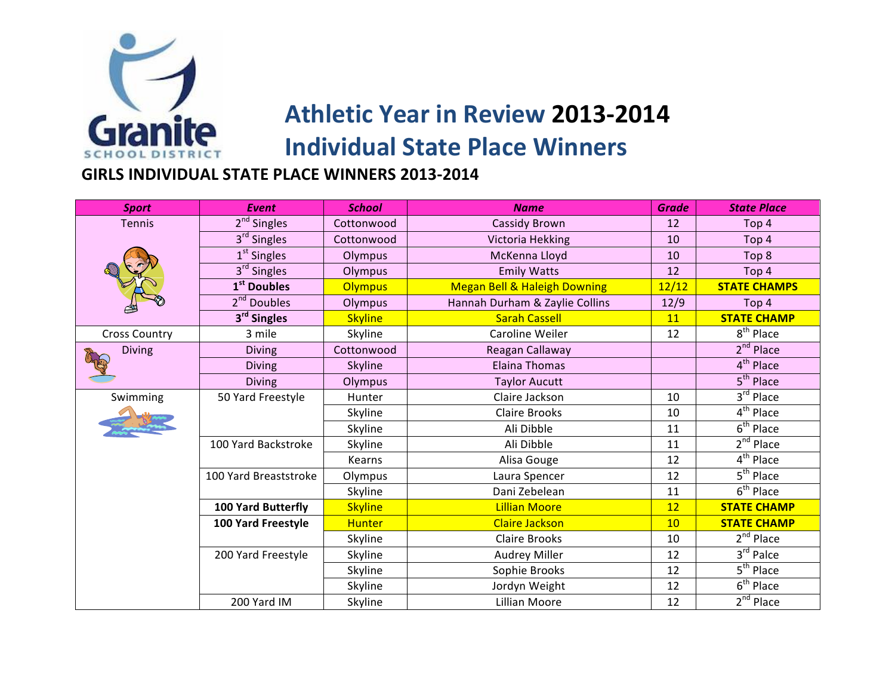

**GIRLS INDIVIDUAL STATE PLACE WINNERS 2013-2014** 

| <b>Sport</b>         | <b>Event</b>            | <b>School</b>  | <b>Name</b>                             | <b>Grade</b> | <b>State Place</b>               |
|----------------------|-------------------------|----------------|-----------------------------------------|--------------|----------------------------------|
| <b>Tennis</b>        | 2 <sup>nd</sup> Singles | Cottonwood     | Cassidy Brown                           | 12           | Top 4                            |
|                      | 3 <sup>rd</sup> Singles | Cottonwood     | Victoria Hekking                        | 10           | Top 4                            |
|                      | $1st$ Singles           | Olympus        | McKenna Lloyd                           | 10           | Top 8                            |
|                      | $3rd$ Singles           | Olympus        | <b>Emily Watts</b>                      | 12           | Top 4                            |
|                      | 1 <sup>st</sup> Doubles | <b>Olympus</b> | <b>Megan Bell &amp; Haleigh Downing</b> | 12/12        | <b>STATE CHAMPS</b>              |
|                      | 2 <sup>nd</sup> Doubles | Olympus        | Hannah Durham & Zaylie Collins          | 12/9         | Top 4                            |
|                      | 3 <sup>rd</sup> Singles | <b>Skyline</b> | <b>Sarah Cassell</b>                    | 11           | <b>STATE CHAMP</b>               |
| <b>Cross Country</b> | 3 mile                  | Skyline        | Caroline Weiler                         | 12           | 8 <sup>th</sup> Place            |
| <b>Diving</b>        | <b>Diving</b>           | Cottonwood     | Reagan Callaway                         |              | $2nd$ Place                      |
|                      | <b>Diving</b>           | <b>Skyline</b> | <b>Elaina Thomas</b>                    |              | 4 <sup>th</sup> Place            |
|                      | <b>Diving</b>           | Olympus        | <b>Taylor Aucutt</b>                    |              | $5th$ Place                      |
| Swimming             | 50 Yard Freestyle       | <b>Hunter</b>  | Claire Jackson                          | 10           | 3rd Place                        |
|                      |                         | Skyline        | <b>Claire Brooks</b>                    | 10           | 4 <sup>th</sup> Place            |
|                      |                         | Skyline        | Ali Dibble                              | 11           | $6th$ Place                      |
|                      | 100 Yard Backstroke     | Skyline        | Ali Dibble                              | 11           | $2nd$ Place                      |
|                      |                         | Kearns         | Alisa Gouge                             | 12           | $4th$ Place                      |
|                      | 100 Yard Breaststroke   | Olympus        | Laura Spencer                           | 12           | $5th$ Place                      |
|                      |                         | Skyline        | Dani Zebelean                           | 11           | $\overline{6}^{\text{th}}$ Place |
|                      | 100 Yard Butterfly      | <b>Skyline</b> | <b>Lillian Moore</b>                    | 12           | <b>STATE CHAMP</b>               |
|                      | 100 Yard Freestyle      | <b>Hunter</b>  | <b>Claire Jackson</b>                   | 10           | <b>STATE CHAMP</b>               |
|                      |                         | Skyline        | <b>Claire Brooks</b>                    | 10           | 2 <sup>nd</sup> Place            |
|                      | 200 Yard Freestyle      | Skyline        | Audrey Miller                           | 12           | $3rd$ Palce                      |
|                      |                         | Skyline        | Sophie Brooks                           | 12           | $5th$ Place                      |
|                      |                         | Skyline        | Jordyn Weight                           | 12           | $6th$ Place                      |
|                      | 200 Yard IM             | Skyline        | Lillian Moore                           | 12           | 2 <sup>nd</sup> Place            |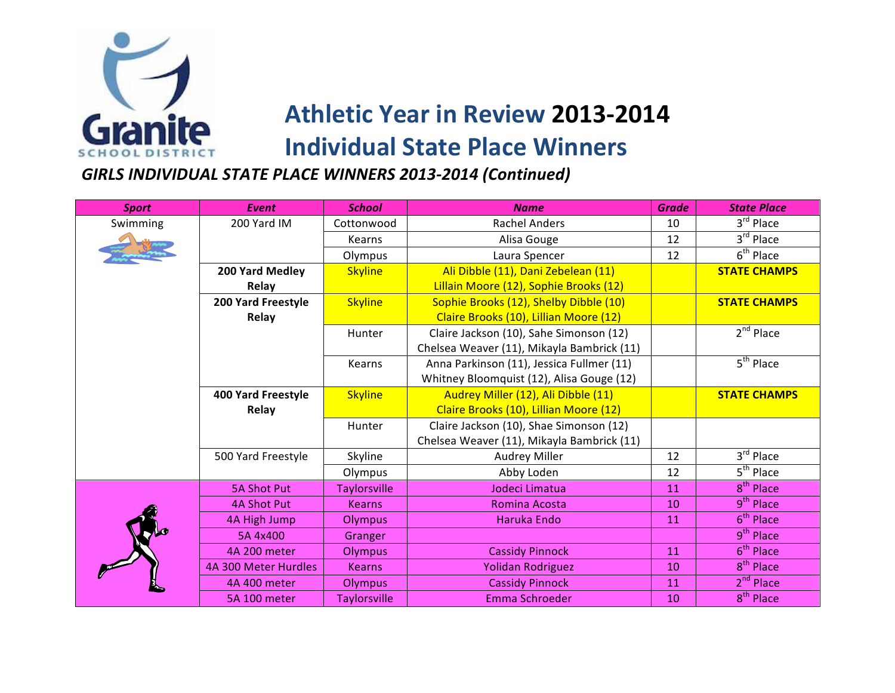

**GIRLS INDIVIDUAL STATE PLACE WINNERS 2013-2014 (Continued)** 

| <b>Sport</b> | <b>Event</b>              | <b>School</b>       | <b>Name</b>                                | <b>Grade</b> | <b>State Place</b>               |
|--------------|---------------------------|---------------------|--------------------------------------------|--------------|----------------------------------|
| Swimming     | 200 Yard IM               | Cottonwood          | <b>Rachel Anders</b>                       | 10           | 3rd Place                        |
|              |                           | Kearns              | Alisa Gouge                                | 12           | 3rd Place                        |
|              |                           | Olympus             | Laura Spencer                              | 12           | 6 <sup>th</sup> Place            |
|              | 200 Yard Medley           | <b>Skyline</b>      | Ali Dibble (11), Dani Zebelean (11)        |              | <b>STATE CHAMPS</b>              |
|              | Relay                     |                     | Lillain Moore (12), Sophie Brooks (12)     |              |                                  |
|              | 200 Yard Freestyle        | <b>Skyline</b>      | Sophie Brooks (12), Shelby Dibble (10)     |              | <b>STATE CHAMPS</b>              |
|              | Relay                     |                     | Claire Brooks (10), Lillian Moore (12)     |              |                                  |
|              |                           | Hunter              | Claire Jackson (10), Sahe Simonson (12)    |              | $2nd$ Place                      |
|              |                           |                     | Chelsea Weaver (11), Mikayla Bambrick (11) |              |                                  |
|              |                           | Kearns              | Anna Parkinson (11), Jessica Fullmer (11)  |              | 5 <sup>th</sup> Place            |
|              |                           |                     | Whitney Bloomquist (12), Alisa Gouge (12)  |              |                                  |
|              | <b>400 Yard Freestyle</b> | <b>Skyline</b>      | Audrey Miller (12), Ali Dibble (11)        |              | <b>STATE CHAMPS</b>              |
|              | Relay                     |                     | Claire Brooks (10), Lillian Moore (12)     |              |                                  |
|              |                           | Hunter              | Claire Jackson (10), Shae Simonson (12)    |              |                                  |
|              |                           |                     | Chelsea Weaver (11), Mikayla Bambrick (11) |              |                                  |
|              | 500 Yard Freestyle        | Skyline             | <b>Audrey Miller</b>                       | 12           | 3rd Place                        |
|              |                           | Olympus             | Abby Loden                                 | 12           | $\overline{5}^{\text{th}}$ Place |
|              | <b>5A Shot Put</b>        | <b>Taylorsville</b> | Jodeci Limatua                             | 11           | $8th$ Place                      |
|              | <b>4A Shot Put</b>        | <b>Kearns</b>       | Romina Acosta                              | 10           | 9 <sup>th</sup> Place            |
|              | 4A High Jump              | Olympus             | Haruka Endo                                | 11           | 6 <sup>th</sup> Place            |
|              | 5A 4x400                  | Granger             |                                            |              | $9th$ Place                      |
|              | 4A 200 meter              | Olympus             | <b>Cassidy Pinnock</b>                     | 11           | $6th$ Place                      |
|              | 4A 300 Meter Hurdles      | <b>Kearns</b>       | Yolidan Rodriguez                          | 10           | 8 <sup>th</sup> Place            |
|              | 4A 400 meter              | <b>Olympus</b>      | <b>Cassidy Pinnock</b>                     | 11           | 2 <sup>nd</sup> Place            |
|              | 5A 100 meter              | <b>Taylorsville</b> | Emma Schroeder                             | 10           | 8 <sup>th</sup> Place            |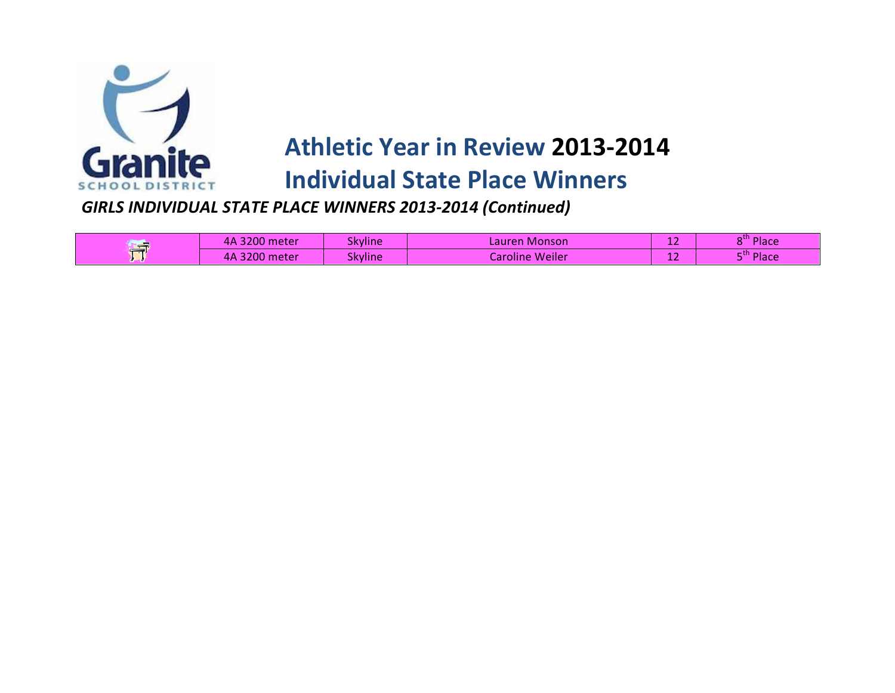

# **Athletic Year in Review 2013-2014**

### **Individual State Place Winners**

#### **GIRLS INDIVIDUAL STATE PLACE WINNERS 2013-2014 (Continued)**

| ر ک  | 3200 meter<br>4А | <b>Skyline</b> | Lauren Monson   | -- | 8" Place  |
|------|------------------|----------------|-----------------|----|-----------|
| т∞ти | 3200 meter<br>4А | <b>Skyline</b> | Caroline Weiler | -- | $m$ Place |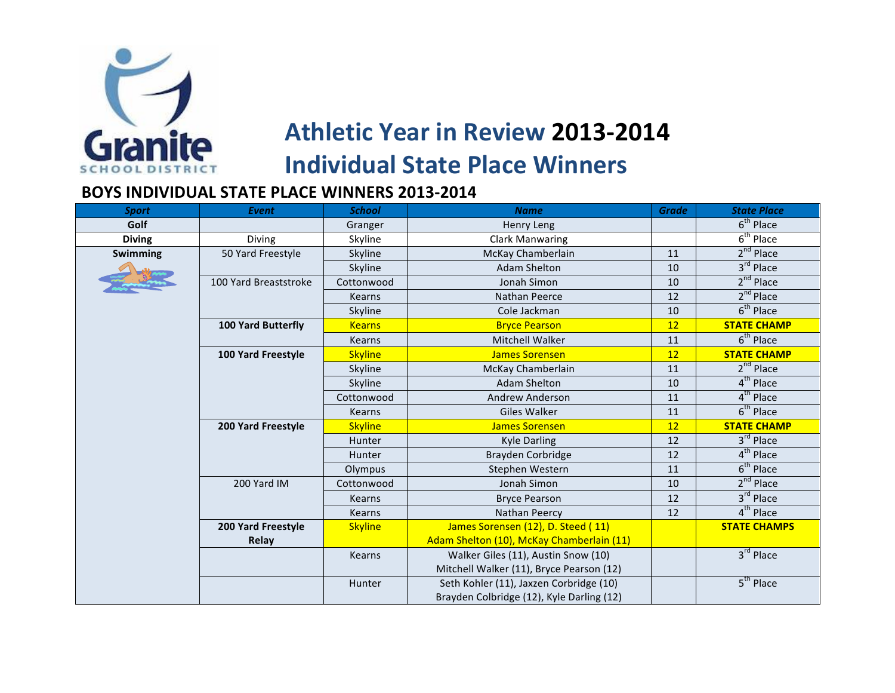

#### **BOYS INDIVIDUAL STATE PLACE WINNERS 2013-2014**

| <b>Sport</b>    | Event                     | <b>School</b>  | <b>Name</b>                               | <b>Grade</b> | <b>State Place</b>    |
|-----------------|---------------------------|----------------|-------------------------------------------|--------------|-----------------------|
| Golf            |                           | Granger        | Henry Leng                                |              | $6th$ Place           |
| <b>Diving</b>   | <b>Diving</b>             | Skyline        | <b>Clark Manwaring</b>                    |              | $6th$ Place           |
| <b>Swimming</b> | 50 Yard Freestyle         | Skyline        | McKay Chamberlain                         | 11           | 2 <sup>nd</sup> Place |
|                 |                           | Skyline        | <b>Adam Shelton</b>                       | 10           | $3rd$ Place           |
|                 | 100 Yard Breaststroke     | Cottonwood     | Jonah Simon                               | 10           | $2nd$ Place           |
|                 |                           | <b>Kearns</b>  | <b>Nathan Peerce</b>                      | 12           | 2 <sup>nd</sup> Place |
|                 |                           | Skyline        | Cole Jackman                              | 10           | $6th$ Place           |
|                 | <b>100 Yard Butterfly</b> | <b>Kearns</b>  | <b>Bryce Pearson</b>                      | 12           | <b>STATE CHAMP</b>    |
|                 |                           | <b>Kearns</b>  | Mitchell Walker                           | 11           | $6th$ Place           |
|                 | 100 Yard Freestyle        | <b>Skyline</b> | <b>James Sorensen</b>                     | 12           | <b>STATE CHAMP</b>    |
|                 |                           | Skyline        | McKay Chamberlain                         | 11           | $2nd$ Place           |
|                 |                           | Skyline        | <b>Adam Shelton</b>                       | 10           | $4th$ Place           |
|                 |                           | Cottonwood     | Andrew Anderson                           | 11           | $4th$ Place           |
|                 |                           | <b>Kearns</b>  | Giles Walker                              | 11           | $6th$ Place           |
|                 | 200 Yard Freestyle        | <b>Skyline</b> | <b>James Sorensen</b>                     | 12           | <b>STATE CHAMP</b>    |
|                 |                           | Hunter         | Kyle Darling                              | 12           | 3rd Place             |
|                 |                           | Hunter         | Brayden Corbridge                         | 12           | $4th$ Place           |
|                 |                           | Olympus        | Stephen Western                           | 11           | $6th$ Place           |
|                 | 200 Yard IM               | Cottonwood     | Jonah Simon                               | 10           | 2 <sup>nd</sup> Place |
|                 |                           | Kearns         | <b>Bryce Pearson</b>                      | 12           | $3rd$ Place           |
|                 |                           | Kearns         | Nathan Peercy                             | 12           | 4 <sup>th</sup> Place |
|                 | <b>200 Yard Freestyle</b> | <b>Skyline</b> | James Sorensen (12), D. Steed (11)        |              | <b>STATE CHAMPS</b>   |
|                 | Relay                     |                | Adam Shelton (10), McKay Chamberlain (11) |              |                       |
|                 |                           | Kearns         | Walker Giles (11), Austin Snow (10)       |              | 3rd Place             |
|                 |                           |                | Mitchell Walker (11), Bryce Pearson (12)  |              |                       |
|                 |                           | Hunter         | Seth Kohler (11), Jaxzen Corbridge (10)   |              | $5th$ Place           |
|                 |                           |                | Brayden Colbridge (12), Kyle Darling (12) |              |                       |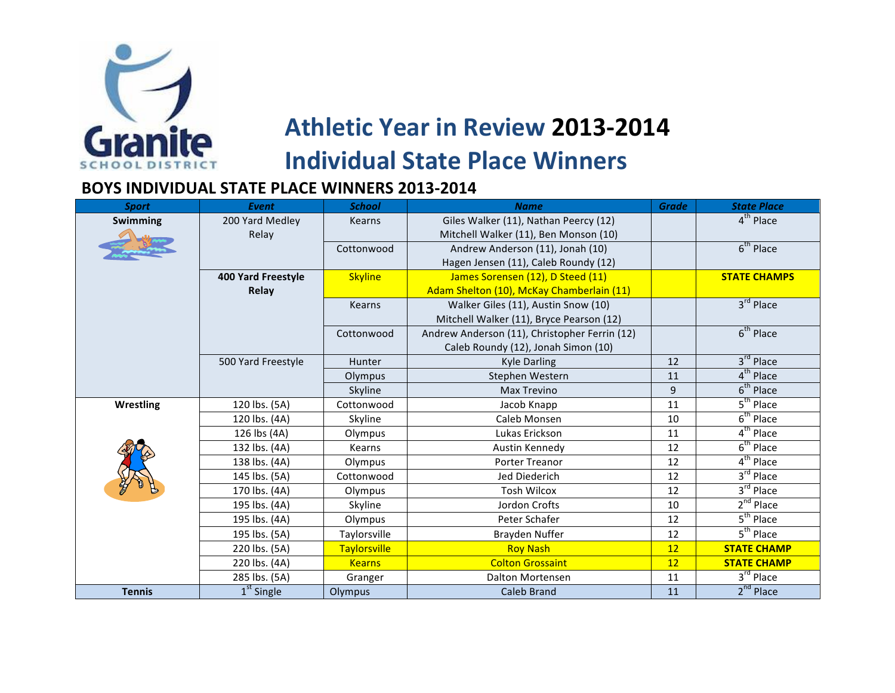

#### **BOYS INDIVIDUAL STATE PLACE WINNERS 2013-2014**

| <b>Sport</b>     | <b>Event</b>              | <b>School</b>       | <b>Name</b>                                   | <b>Grade</b> | <b>State Place</b>    |
|------------------|---------------------------|---------------------|-----------------------------------------------|--------------|-----------------------|
| Swimming         | 200 Yard Medley           | <b>Kearns</b>       | Giles Walker (11), Nathan Peercy (12)         |              | 4 <sup>th</sup> Place |
|                  | Relay                     |                     | Mitchell Walker (11), Ben Monson (10)         |              |                       |
|                  |                           | Cottonwood          | Andrew Anderson (11), Jonah (10)              |              | $6th$ Place           |
|                  |                           |                     | Hagen Jensen (11), Caleb Roundy (12)          |              |                       |
|                  | <b>400 Yard Freestyle</b> | <b>Skyline</b>      | James Sorensen (12), D Steed (11)             |              | <b>STATE CHAMPS</b>   |
|                  | Relay                     |                     | Adam Shelton (10), McKay Chamberlain (11)     |              |                       |
|                  |                           | <b>Kearns</b>       | Walker Giles (11), Austin Snow (10)           |              | 3rd Place             |
|                  |                           |                     | Mitchell Walker (11), Bryce Pearson (12)      |              |                       |
|                  |                           | Cottonwood          | Andrew Anderson (11), Christopher Ferrin (12) |              | $6th$ Place           |
|                  |                           |                     | Caleb Roundy (12), Jonah Simon (10)           |              |                       |
|                  | 500 Yard Freestyle        | Hunter              | <b>Kyle Darling</b>                           | 12           | 3rd Place             |
|                  |                           | Olympus             | Stephen Western                               | 11           | $4th$ Place           |
|                  |                           | Skyline             | <b>Max Trevino</b>                            | 9            | $6th$ Place           |
| <b>Wrestling</b> | 120 lbs. (5A)             | Cottonwood          | Jacob Knapp                                   | 11           | $5th$ Place           |
|                  | 120 lbs. (4A)             | Skyline             | Caleb Monsen                                  | 10           | $6th$ Place           |
|                  | 126 lbs (4A)              | Olympus             | Lukas Erickson                                | 11           | 4 <sup>th</sup> Place |
|                  | 132 lbs. (4A)             | Kearns              | Austin Kennedy                                | 12           | $6th$ Place           |
|                  | 138 lbs. (4A)             | Olympus             | <b>Porter Treanor</b>                         | 12           | $4th$ Place           |
|                  | 145 lbs. (5A)             | Cottonwood          | Jed Diederich                                 | 12           | $3rd$ Place           |
|                  | 170 lbs. (4A)             | Olympus             | <b>Tosh Wilcox</b>                            | 12           | 3rd Place             |
|                  | 195 lbs. (4A)             | Skyline             | Jordon Crofts                                 | 10           | $2nd$ Place           |
|                  | 195 lbs. (4A)             | Olympus             | Peter Schafer                                 | 12           | 5 <sup>th</sup> Place |
|                  | 195 lbs. (5A)             | Taylorsville        | Brayden Nuffer                                | 12           | $5th$ Place           |
|                  | 220 lbs. (5A)             | <b>Taylorsville</b> | <b>Roy Nash</b>                               | 12           | <b>STATE CHAMP</b>    |
|                  | 220 lbs. (4A)             | <b>Kearns</b>       | <b>Colton Grossaint</b>                       | 12           | <b>STATE CHAMP</b>    |
|                  | 285 lbs. (5A)             | Granger             | <b>Dalton Mortensen</b>                       | 11           | 3rd Place             |
| <b>Tennis</b>    | $1st$ Single              | Olympus             | <b>Caleb Brand</b>                            | 11           | $2nd$ Place           |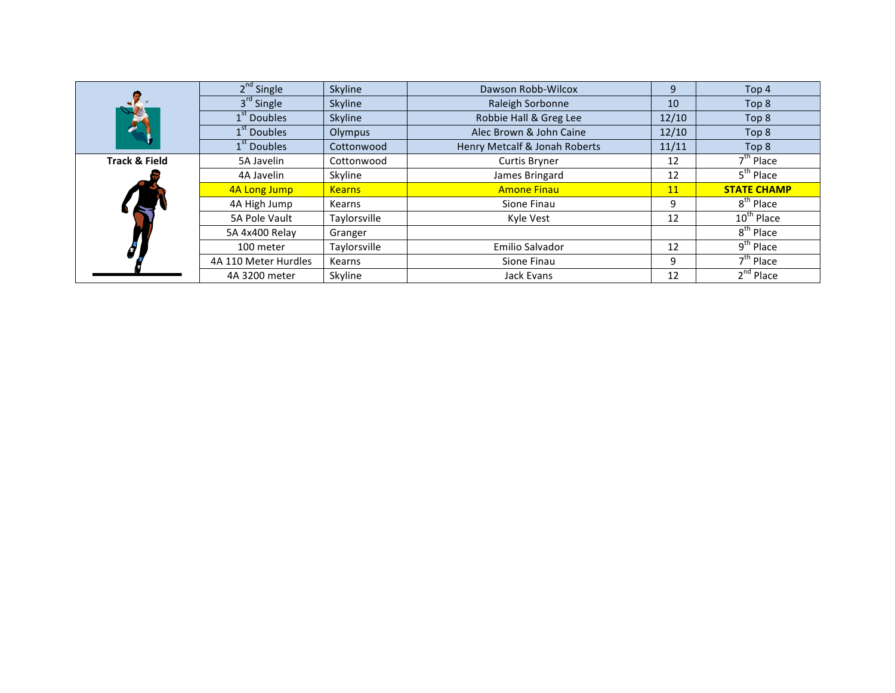|                          | $2nd$ Single            | Skyline       | Dawson Robb-Wilcox            | 9     | Top 4                                |
|--------------------------|-------------------------|---------------|-------------------------------|-------|--------------------------------------|
|                          | 3 <sup>rd</sup> Single  | Skyline       | Raleigh Sorbonne              | 10    | Top 8                                |
|                          | 1 <sup>st</sup> Doubles | Skyline       | Robbie Hall & Greg Lee        | 12/10 | Top 8                                |
|                          | 1 <sup>st</sup> Doubles | Olympus       | Alec Brown & John Caine       | 12/10 | Top 8                                |
|                          | 1 <sup>st</sup> Doubles | Cottonwood    | Henry Metcalf & Jonah Roberts | 11/11 | Top 8                                |
| <b>Track &amp; Field</b> | 5A Javelin              | Cottonwood    | <b>Curtis Bryner</b>          | 12    | $7^{\text{th}}$ Place                |
|                          | 4A Javelin              | Skyline       | James Bringard                | 12    | $5th$ Place                          |
|                          | 4A Long Jump            | <b>Kearns</b> | <b>Amone Finau</b>            | 11    | <b>STATE CHAMP</b>                   |
|                          | 4A High Jump            | Kearns        | Sione Finau                   | 9     | $8^{\text{th}}$ Place                |
|                          | 5A Pole Vault           | Taylorsville  | Kyle Vest                     | 12    | 10 <sup>th</sup> Place               |
|                          | 5A 4x400 Relay          | Granger       |                               |       | 8 <sup>th</sup> Place                |
|                          | 100 meter               | Taylorsville  | Emilio Salvador               | 12    | $9^{\text{th}}$ Place                |
|                          |                         |               |                               |       |                                      |
|                          | 4A 110 Meter Hurdles    | Kearns        | Sione Finau                   | 9     | $7^{\text{th}}$ Place<br>$2nd$ Place |